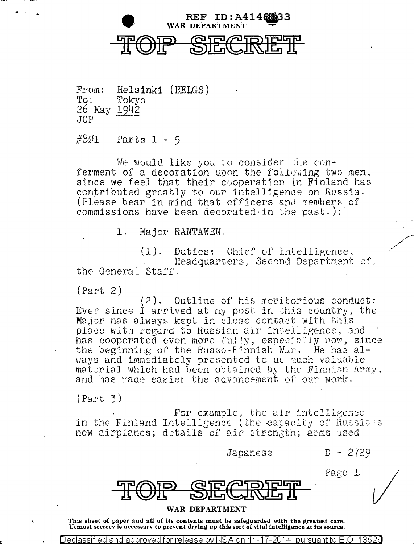

From:  $\mathrm{To:}$ 26 May cJCP Helsinki (HELGS) Tokyo 1\_91±2

#8ø1 Parts  $1 - 5$ 

- ·-- ..

We would like you to consider the conferment of a decoration upon the following two men, since we feel that their cooperation in Finland has contributed greatly to our intelligence on Russia. (Please bear in mind that offtcers and members of commissions have been decorated in the past.):

1. Major RANTANEN.

 $(1)$ . Duties: Chief of Intelligence, Headquarters, Second Department of, the General Staff.

 $(Part 2)$ 

 $(2)$ . Outline of his meritorious conduct: Ever since I arrived at my post in this country, the Major has always kept in close contact with this place with regard to Russian air intelligence, and has cooperated even more fully, especially now, since the beginning of the Russo-Finnish  $W_{\mathcal{A}}$ . He has always and immediately presented to us much valuable material which had been obtained by the Finnish Army, and has made easier the advancement of our work.

 $(Part 3)$ 

For example, the air intelligence<br>in the Finland Intelligence (the capacity of Russia's new airplanes; details of air strength; arms used

t.Tapanese D ~ 2729

Page l



## WAR DEPARTMENT

This sheet of paper and all of its contents must be safeguarded with the greatest care. Utmost secrecy is necessary to prevent drying up this sort of vital intelligence at its source.